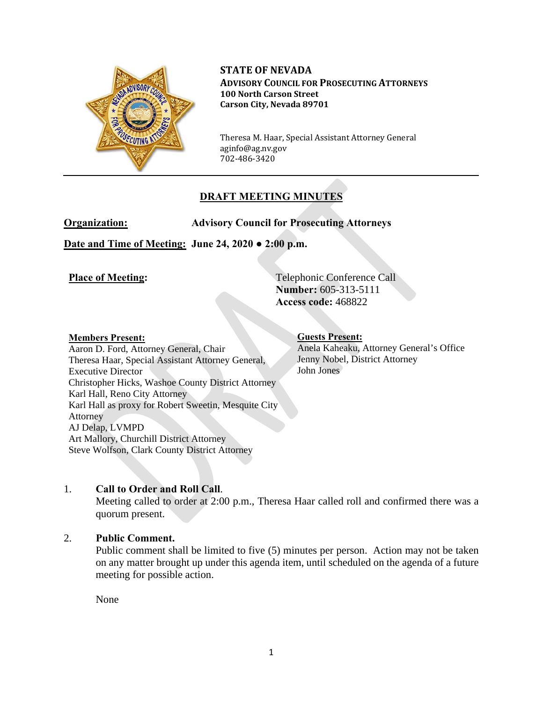

**STATE OF NEVADA ADVISORY COUNCIL FOR PROSECUTING ATTORNEYS 100 North Carson Street Carson City, Nevada 89701**

Theresa M. Haar, Special Assistant Attorney General aginfo@ag.nv.gov 702-486-3420

# **DRAFT MEETING MINUTES**

**Organization: Advisory Council for Prosecuting Attorneys** 

**Date and Time of Meeting: June 24, 2020 ● 2:00 p.m.**

**Place of Meeting:** Telephonic Conference Call **Number:** 605-313-5111 **Access code:** 468822

#### **Members Present:**

Aaron D. Ford, Attorney General, Chair Theresa Haar, Special Assistant Attorney General, Executive Director Christopher Hicks, Washoe County District Attorney Karl Hall, Reno City Attorney Karl Hall as proxy for Robert Sweetin, Mesquite City Attorney AJ Delap, LVMPD Art Mallory, Churchill District Attorney Steve Wolfson, Clark County District Attorney

#### **Guests Present:**  Anela Kaheaku, Attorney General's Office Jenny Nobel, District Attorney John Jones

# 1. **Call to Order and Roll Call**.

Meeting called to order at 2:00 p.m., Theresa Haar called roll and confirmed there was a quorum present.

## 2. **Public Comment.**

Public comment shall be limited to five (5) minutes per person. Action may not be taken on any matter brought up under this agenda item, until scheduled on the agenda of a future meeting for possible action.

None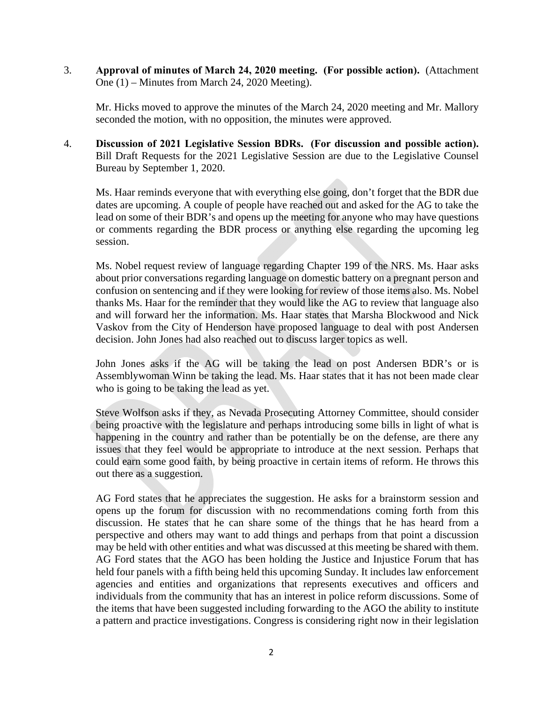3. **Approval of minutes of March 24, 2020 meeting. (For possible action).** (Attachment One (1) – Minutes from March 24, 2020 Meeting).

Mr. Hicks moved to approve the minutes of the March 24, 2020 meeting and Mr. Mallory seconded the motion, with no opposition, the minutes were approved.

4. **Discussion of 2021 Legislative Session BDRs. (For discussion and possible action).** Bill Draft Requests for the 2021 Legislative Session are due to the Legislative Counsel Bureau by September 1, 2020.

Ms. Haar reminds everyone that with everything else going, don't forget that the BDR due dates are upcoming. A couple of people have reached out and asked for the AG to take the lead on some of their BDR's and opens up the meeting for anyone who may have questions or comments regarding the BDR process or anything else regarding the upcoming leg session.

 Ms. Nobel request review of language regarding Chapter 199 of the NRS. Ms. Haar asks about prior conversations regarding language on domestic battery on a pregnant person and confusion on sentencing and if they were looking for review of those items also. Ms. Nobel thanks Ms. Haar for the reminder that they would like the AG to review that language also and will forward her the information. Ms. Haar states that Marsha Blockwood and Nick Vaskov from the City of Henderson have proposed language to deal with post Andersen decision. John Jones had also reached out to discuss larger topics as well.

 John Jones asks if the AG will be taking the lead on post Andersen BDR's or is Assemblywoman Winn be taking the lead. Ms. Haar states that it has not been made clear who is going to be taking the lead as yet.

 Steve Wolfson asks if they, as Nevada Prosecuting Attorney Committee, should consider being proactive with the legislature and perhaps introducing some bills in light of what is happening in the country and rather than be potentially be on the defense, are there any issues that they feel would be appropriate to introduce at the next session. Perhaps that could earn some good faith, by being proactive in certain items of reform. He throws this out there as a suggestion.

 AG Ford states that he appreciates the suggestion. He asks for a brainstorm session and opens up the forum for discussion with no recommendations coming forth from this discussion. He states that he can share some of the things that he has heard from a perspective and others may want to add things and perhaps from that point a discussion may be held with other entities and what was discussed at this meeting be shared with them. AG Ford states that the AGO has been holding the Justice and Injustice Forum that has held four panels with a fifth being held this upcoming Sunday. It includes law enforcement agencies and entities and organizations that represents executives and officers and individuals from the community that has an interest in police reform discussions. Some of the items that have been suggested including forwarding to the AGO the ability to institute a pattern and practice investigations. Congress is considering right now in their legislation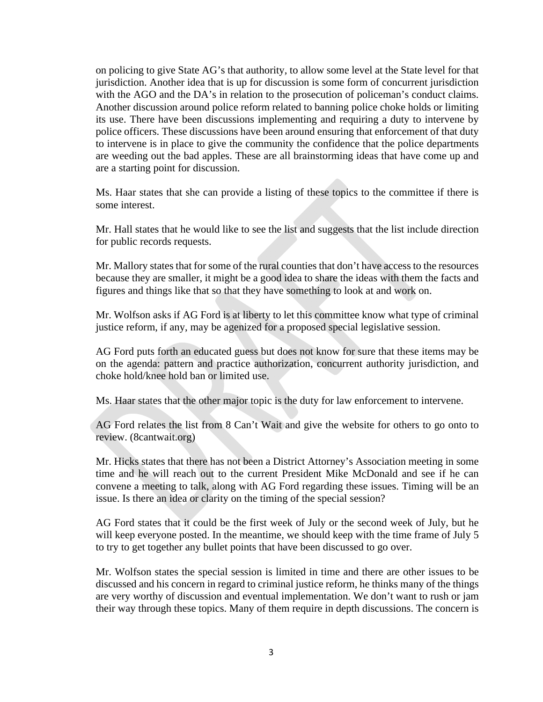on policing to give State AG's that authority, to allow some level at the State level for that jurisdiction. Another idea that is up for discussion is some form of concurrent jurisdiction with the AGO and the DA's in relation to the prosecution of policeman's conduct claims. Another discussion around police reform related to banning police choke holds or limiting its use. There have been discussions implementing and requiring a duty to intervene by police officers. These discussions have been around ensuring that enforcement of that duty to intervene is in place to give the community the confidence that the police departments are weeding out the bad apples. These are all brainstorming ideas that have come up and are a starting point for discussion.

 Ms. Haar states that she can provide a listing of these topics to the committee if there is some interest.

 Mr. Hall states that he would like to see the list and suggests that the list include direction for public records requests.

 Mr. Mallory states that for some of the rural counties that don't have access to the resources because they are smaller, it might be a good idea to share the ideas with them the facts and figures and things like that so that they have something to look at and work on.

 Mr. Wolfson asks if AG Ford is at liberty to let this committee know what type of criminal justice reform, if any, may be agenized for a proposed special legislative session.

 AG Ford puts forth an educated guess but does not know for sure that these items may be on the agenda: pattern and practice authorization, concurrent authority jurisdiction, and choke hold/knee hold ban or limited use.

Ms. Haar states that the other major topic is the duty for law enforcement to intervene.

 AG Ford relates the list from 8 Can't Wait and give the website for others to go onto to review. (8cantwait.org)

 Mr. Hicks states that there has not been a District Attorney's Association meeting in some time and he will reach out to the current President Mike McDonald and see if he can convene a meeting to talk, along with AG Ford regarding these issues. Timing will be an issue. Is there an idea or clarity on the timing of the special session?

 AG Ford states that it could be the first week of July or the second week of July, but he will keep everyone posted. In the meantime, we should keep with the time frame of July 5 to try to get together any bullet points that have been discussed to go over.

 Mr. Wolfson states the special session is limited in time and there are other issues to be discussed and his concern in regard to criminal justice reform, he thinks many of the things are very worthy of discussion and eventual implementation. We don't want to rush or jam their way through these topics. Many of them require in depth discussions. The concern is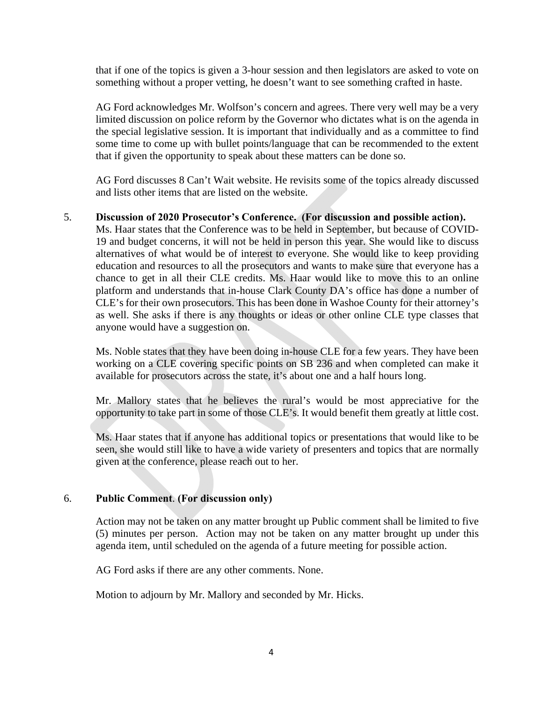that if one of the topics is given a 3-hour session and then legislators are asked to vote on something without a proper vetting, he doesn't want to see something crafted in haste.

 AG Ford acknowledges Mr. Wolfson's concern and agrees. There very well may be a very limited discussion on police reform by the Governor who dictates what is on the agenda in the special legislative session. It is important that individually and as a committee to find some time to come up with bullet points/language that can be recommended to the extent that if given the opportunity to speak about these matters can be done so.

 AG Ford discusses 8 Can't Wait website. He revisits some of the topics already discussed and lists other items that are listed on the website.

# 5. **Discussion of 2020 Prosecutor's Conference. (For discussion and possible action).**

Ms. Haar states that the Conference was to be held in September, but because of COVID-19 and budget concerns, it will not be held in person this year. She would like to discuss alternatives of what would be of interest to everyone. She would like to keep providing education and resources to all the prosecutors and wants to make sure that everyone has a chance to get in all their CLE credits. Ms. Haar would like to move this to an online platform and understands that in-house Clark County DA's office has done a number of CLE's for their own prosecutors. This has been done in Washoe County for their attorney's as well. She asks if there is any thoughts or ideas or other online CLE type classes that anyone would have a suggestion on.

Ms. Noble states that they have been doing in-house CLE for a few years. They have been working on a CLE covering specific points on SB 236 and when completed can make it available for prosecutors across the state, it's about one and a half hours long.

Mr. Mallory states that he believes the rural's would be most appreciative for the opportunity to take part in some of those CLE's. It would benefit them greatly at little cost.

Ms. Haar states that if anyone has additional topics or presentations that would like to be seen, she would still like to have a wide variety of presenters and topics that are normally given at the conference, please reach out to her.

## 6. **Public Comment**. **(For discussion only)**

Action may not be taken on any matter brought up Public comment shall be limited to five (5) minutes per person. Action may not be taken on any matter brought up under this agenda item, until scheduled on the agenda of a future meeting for possible action.

AG Ford asks if there are any other comments. None.

Motion to adjourn by Mr. Mallory and seconded by Mr. Hicks.